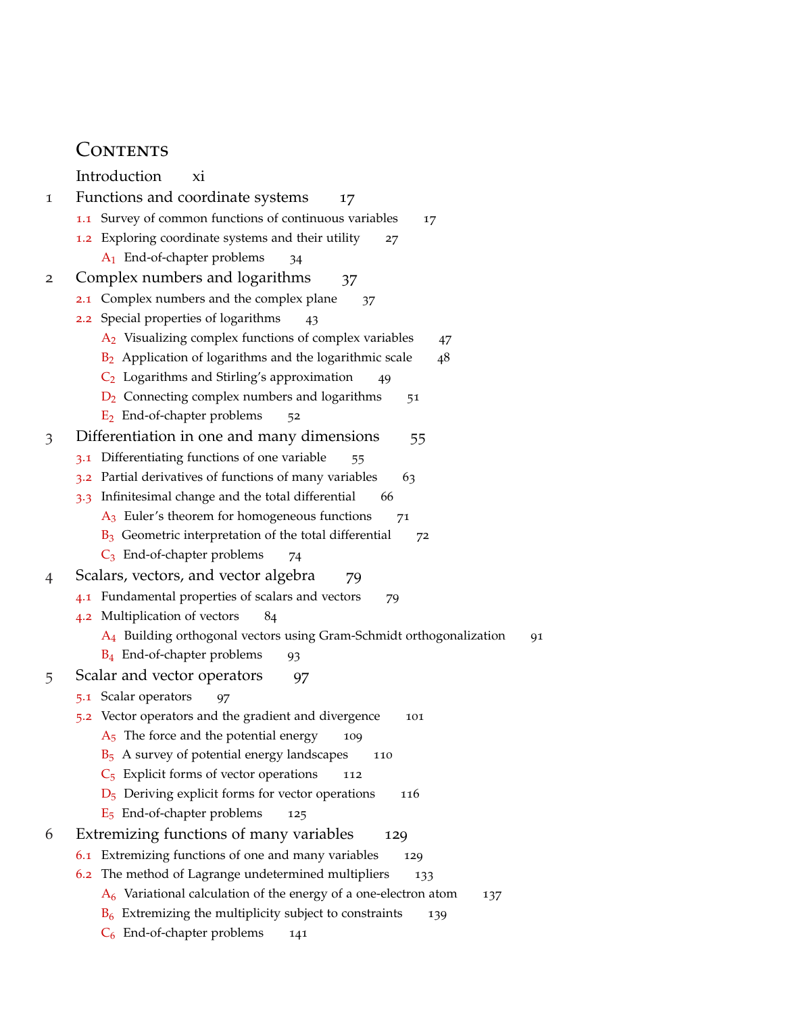## CONTENTS

Introduction xi

- 1 Functions and coordinate systems 17
	- 1.1 Survey of common functions of continuous variables 17
	- 1.2 Exploring coordinate systems and their utility 27
		- A<sub>1</sub> End-of-chapter problems 34
- 2 Complex numbers and logarithms 37
	- 2.1 Complex numbers and the complex plane 37
	- 2.2 Special properties of logarithms 43
		- $A_2$  Visualizing complex functions of complex variables  $47$
		- $B_2$  Application of logarithms and the logarithmic scale 48
		- $C_2$  Logarithms and Stirling's approximation 49
		- $D_2$  Connecting complex numbers and logarithms  $51$
		- $E_2$  End-of-chapter problems  $52$
- 3 Differentiation in one and many dimensions 55
	- 3.1 Differentiating functions of one variable 55
	- 3.2 Partial derivatives of functions of many variables 63
	- 3.3 Infinitesimal change and the total differential 66
		- $A_3$  Euler's theorem for homogeneous functions  $71$
		- $B_3$  Geometric interpretation of the total differential  $72$
		- $C_3$  End-of-chapter problems 74
- 4 Scalars, vectors, and vector algebra 79
	- 4.1 Fundamental properties of scalars and vectors 79
	- 4.2 Multiplication of vectors 84
		- A<sub>4</sub> Building orthogonal vectors using Gram-Schmidt orthogonalization 91
		- B<sub>4</sub> End-of-chapter problems 93
- 5 Scalar and vector operators 97
	- 5.1 Scalar operators 97
	- 5.2 Vector operators and the gradient and divergence 101
		- $A<sub>5</sub>$  The force and the potential energy 109
		- $B_5$  A survey of potential energy landscapes 110
		- $C_5$  Explicit forms of vector operations 112
		- $D_5$  Deriving explicit forms for vector operations 116
		- $E_5$  End-of-chapter problems 125
- 6 Extremizing functions of many variables 129
	- 6.1 Extremizing functions of one and many variables 129
	- 6.2 The method of Lagrange undetermined multipliers 133
		- $A<sub>6</sub>$  Variational calculation of the energy of a one-electron atom 137
		- $B_6$  Extremizing the multiplicity subject to constraints 139
		- $C_6$  End-of-chapter problems 141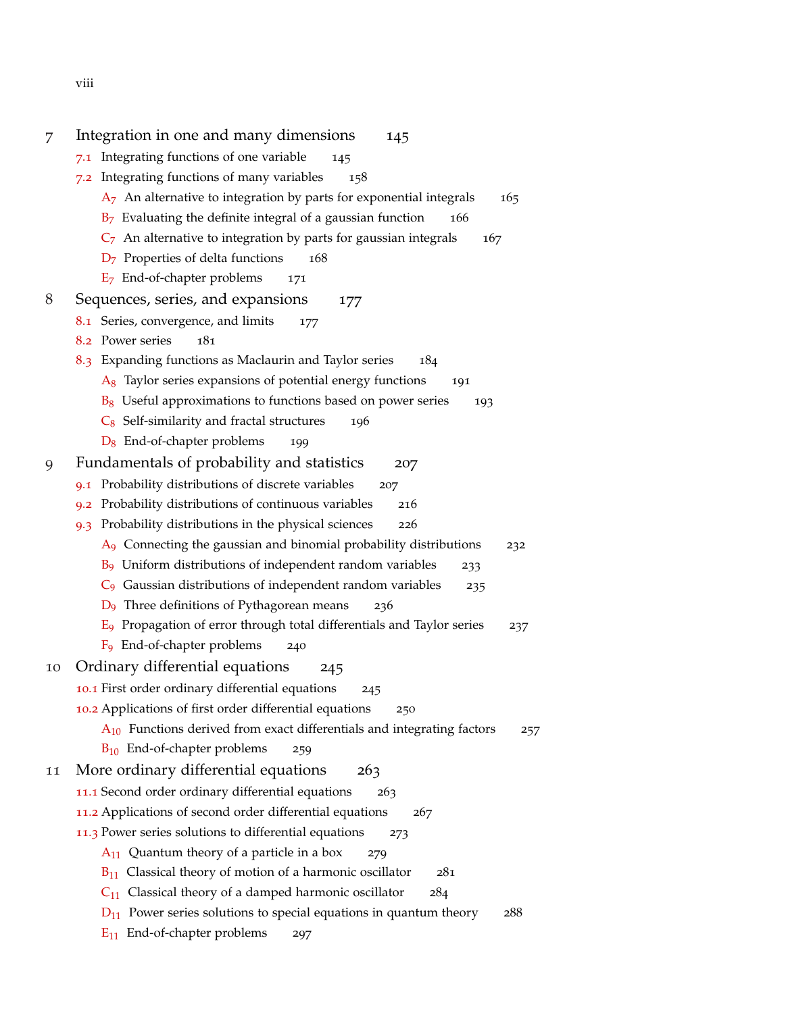viii

| 7  | Integration in one and many dimensions<br>145                                      |
|----|------------------------------------------------------------------------------------|
|    | Integrating functions of one variable<br>7.1<br>145                                |
|    | 7.2 Integrating functions of many variables<br>158                                 |
|    | $A7$ An alternative to integration by parts for exponential integrals<br>165       |
|    | $B7$ Evaluating the definite integral of a gaussian function<br>166                |
|    | $C7$ An alternative to integration by parts for gaussian integrals<br>167          |
|    | $D7$ Properties of delta functions<br>168                                          |
|    | $E7$ End-of-chapter problems<br>171                                                |
| 8  | Sequences, series, and expansions<br>177                                           |
|    | 8.1 Series, convergence, and limits<br>177                                         |
|    | 8.2 Power series<br>181                                                            |
|    | 8.3 Expanding functions as Maclaurin and Taylor series<br>184                      |
|    | $A_8$ Taylor series expansions of potential energy functions<br>191                |
|    | $B_8$ Useful approximations to functions based on power series<br>193              |
|    | $C_8$ Self-similarity and fractal structures<br>196                                |
|    | $D_8$ End-of-chapter problems<br>199                                               |
| 9  | Fundamentals of probability and statistics<br>207                                  |
|    | Probability distributions of discrete variables<br>9.1<br>207                      |
|    | Probability distributions of continuous variables<br>216<br>9.2                    |
|    | 9.3 Probability distributions in the physical sciences<br>226                      |
|    | $A9$ Connecting the gaussian and binomial probability distributions<br>232         |
|    | $B9$ Uniform distributions of independent random variables<br>233                  |
|    | $C_9$ Gaussian distributions of independent random variables<br>235                |
|    | $D_9$ Three definitions of Pythagorean means<br>236                                |
|    | $E_9$ Propagation of error through total differentials and Taylor series<br>237    |
|    | F <sub>9</sub> End-of-chapter problems<br>240                                      |
| 10 | Ordinary differential equations<br>245                                             |
|    | 10.1 First order ordinary differential equations<br>245                            |
|    | 10.2 Applications of first order differential equations<br>250                     |
|    | $A_{10}$ Functions derived from exact differentials and integrating factors<br>257 |
|    | $B_{10}$ End-of-chapter problems 259                                               |
| 11 | More ordinary differential equations<br>263                                        |
|    |                                                                                    |
|    | 11.1 Second order ordinary differential equations<br>263                           |
|    | 11.2 Applications of second order differential equations<br>267                    |
|    | 11.3 Power series solutions to differential equations<br>273                       |
|    | $A_{11}$ Quantum theory of a particle in a box<br>279                              |
|    | $B_{11}$ Classical theory of motion of a harmonic oscillator<br>281                |
|    | $C_{11}$ Classical theory of a damped harmonic oscillator<br>284                   |
|    | $D_{11}$ Power series solutions to special equations in quantum theory<br>288      |
|    | $E_{11}$ End-of-chapter problems<br>297                                            |